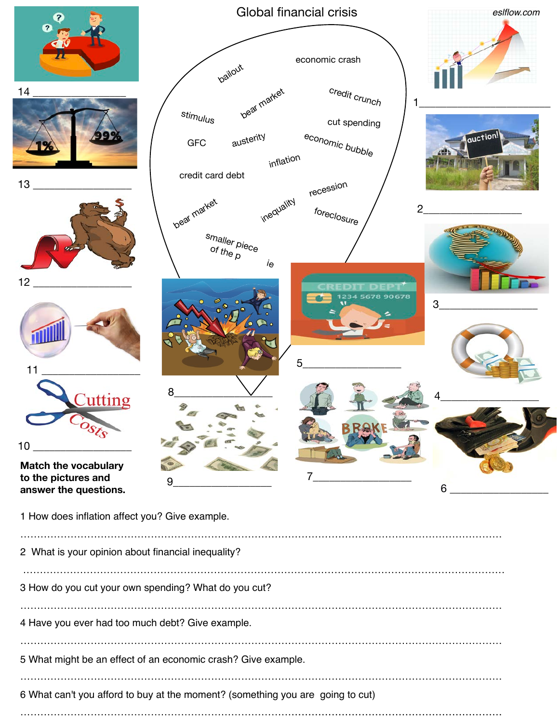| $\mathbf Q$                                                             | Global financial crisis                                                                                                                              | eslflow.com    |
|-------------------------------------------------------------------------|------------------------------------------------------------------------------------------------------------------------------------------------------|----------------|
| ℯ                                                                       | economic crash<br><b>pailout</b>                                                                                                                     |                |
| 14<br>13                                                                | credit crunch<br>beat market<br>stimulus<br>cut spending<br>austerity<br>economic bubble<br><b>GFC</b><br>inflation<br>credit card debt<br>recession | auction!       |
|                                                                         | inequality<br>beat market<br>foreclosure<br>smaller piece<br>of the $\rho$<br>$i_{\Theta}$                                                           | $\overline{2}$ |
| 12<br>11                                                                | 5678 90678<br>Ø<br>$\bullet$<br>0 <sup>o</sup><br>5                                                                                                  | 3              |
| $C$ uttino<br>10<br><b>Match the vocabulary</b><br>to the pictures and  | 8<br>9                                                                                                                                               |                |
| answer the questions.<br>1 How does inflation affect you? Give example. |                                                                                                                                                      | 6              |
| 2 What is your opinion about financial inequality?                      |                                                                                                                                                      |                |
| 3 How do you cut your own spending? What do you cut?                    |                                                                                                                                                      |                |
| 4 Have you ever had too much debt? Give example.                        |                                                                                                                                                      |                |
| 5 What might be an effect of an economic crash? Give example.           |                                                                                                                                                      |                |

6 What can't you afford to buy at the moment? (something you are going to cut)

………………………………………………………………………………………………………………………………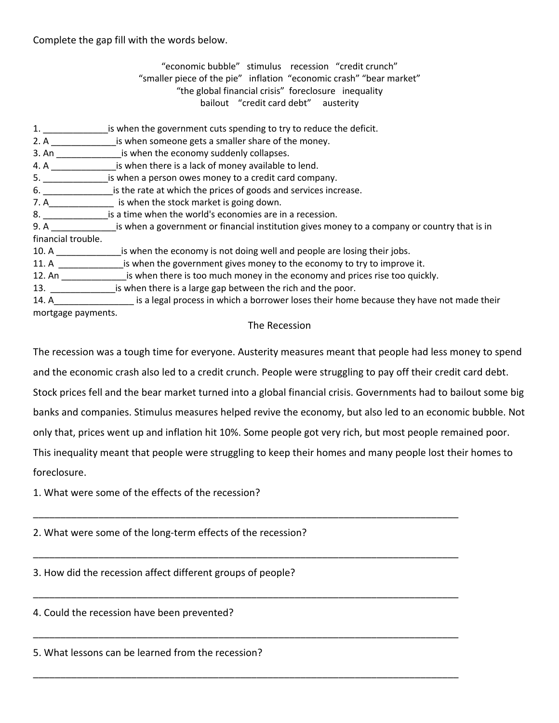Complete the gap fill with the words below.

"economic bubble" stimulus recession "credit crunch" "smaller piece of the pie" inflation "economic crash" "bear market" "the global financial crisis" foreclosure inequality bailout "credit card debt" austerity

- 1. \_\_\_\_\_\_\_\_\_\_\_\_\_is when the government cuts spending to try to reduce the deficit.
- 2. A **Example 2.** A  $\blacksquare$  is when someone gets a smaller share of the money.
- 3. An \_\_\_\_\_\_\_\_\_\_\_\_\_is when the economy suddenly collapses.
- 4. A contract a subset of the relation is when there is a lack of money available to lend.
- 5. \_\_\_\_\_\_\_\_\_\_\_\_\_is when a person owes money to a credit card company.
- 6. \_\_\_\_\_\_\_\_\_\_\_\_\_\_\_\_\_\_\_\_\_\_is the rate at which the prices of goods and services increase.
- 7. A\_\_\_\_\_\_\_\_\_\_\_\_\_ is when the stock market is going down.
- 8. \_\_\_\_\_\_\_\_\_\_\_\_\_is a time when the world's economies are in a recession.
- 9. A calculation is when a government or financial institution gives money to a company or country that is in financial trouble.
- 10. A \_\_\_\_\_\_\_\_\_\_\_\_\_is when the economy is not doing well and people are losing their jobs.
- 11. A \_\_\_\_\_\_\_\_\_\_\_\_\_\_\_\_\_is when the government gives money to the economy to try to improve it.
- 12. An **the is when there is too much money in the economy and prices rise too quickly.**
- 13. \_\_\_\_\_\_\_\_\_\_\_\_\_is when there is a large gap between the rich and the poor.
- 14. A The same is a legal process in which a borrower loses their home because they have not made their mortgage payments.

## The Recession

The recession was a tough time for everyone. Austerity measures meant that people had less money to spend

and the economic crash also led to a credit crunch. People were struggling to pay off their credit card debt.

Stock prices fell and the bear market turned into a global financial crisis. Governments had to bailout some big

banks and companies. Stimulus measures helped revive the economy, but also led to an economic bubble. Not

only that, prices went up and inflation hit 10%. Some people got very rich, but most people remained poor.

This inequality meant that people were struggling to keep their homes and many people lost their homes to foreclosure.

\_\_\_\_\_\_\_\_\_\_\_\_\_\_\_\_\_\_\_\_\_\_\_\_\_\_\_\_\_\_\_\_\_\_\_\_\_\_\_\_\_\_\_\_\_\_\_\_\_\_\_\_\_\_\_\_\_\_\_\_\_\_\_\_\_\_\_\_\_\_\_\_\_\_\_\_\_\_

\_\_\_\_\_\_\_\_\_\_\_\_\_\_\_\_\_\_\_\_\_\_\_\_\_\_\_\_\_\_\_\_\_\_\_\_\_\_\_\_\_\_\_\_\_\_\_\_\_\_\_\_\_\_\_\_\_\_\_\_\_\_\_\_\_\_\_\_\_\_\_\_\_\_\_\_\_\_

\_\_\_\_\_\_\_\_\_\_\_\_\_\_\_\_\_\_\_\_\_\_\_\_\_\_\_\_\_\_\_\_\_\_\_\_\_\_\_\_\_\_\_\_\_\_\_\_\_\_\_\_\_\_\_\_\_\_\_\_\_\_\_\_\_\_\_\_\_\_\_\_\_\_\_\_\_\_

\_\_\_\_\_\_\_\_\_\_\_\_\_\_\_\_\_\_\_\_\_\_\_\_\_\_\_\_\_\_\_\_\_\_\_\_\_\_\_\_\_\_\_\_\_\_\_\_\_\_\_\_\_\_\_\_\_\_\_\_\_\_\_\_\_\_\_\_\_\_\_\_\_\_\_\_\_\_

\_\_\_\_\_\_\_\_\_\_\_\_\_\_\_\_\_\_\_\_\_\_\_\_\_\_\_\_\_\_\_\_\_\_\_\_\_\_\_\_\_\_\_\_\_\_\_\_\_\_\_\_\_\_\_\_\_\_\_\_\_\_\_\_\_\_\_\_\_\_\_\_\_\_\_\_\_\_

1. What were some of the effects of the recession?

2. What were some of the long-term effects of the recession?

3. How did the recession affect different groups of people?

4. Could the recession have been prevented?

5. What lessons can be learned from the recession?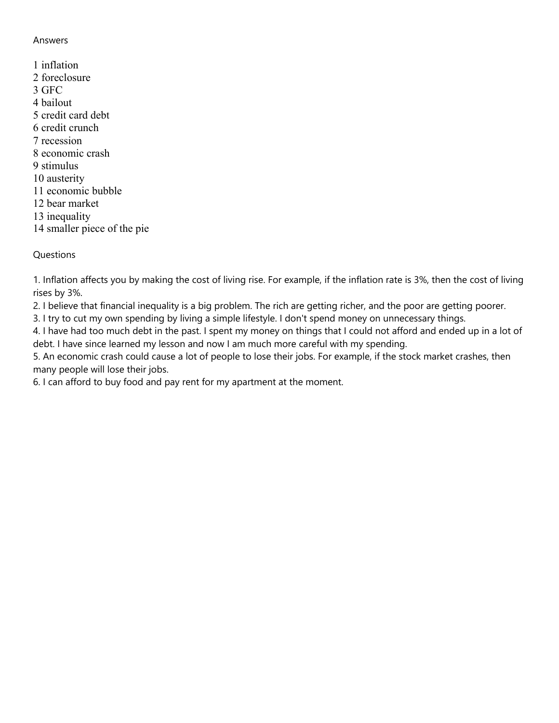## Answers

1 inflation 2 foreclosure 3 GFC 4 bailout 5 credit card debt 6 credit crunch 7 recession 8 economic crash 9 stimulus 10 austerity 11 economic bubble 12 bear market 13 inequality 14 smaller piece of the pie

## **Questions**

1. Inflation affects you by making the cost of living rise. For example, if the inflation rate is 3%, then the cost of living rises by 3%.

2. I believe that financial inequality is a big problem. The rich are getting richer, and the poor are getting poorer.

3. I try to cut my own spending by living a simple lifestyle. I don't spend money on unnecessary things.

4. I have had too much debt in the past. I spent my money on things that I could not afford and ended up in a lot of debt. I have since learned my lesson and now I am much more careful with my spending.

5. An economic crash could cause a lot of people to lose their jobs. For example, if the stock market crashes, then many people will lose their jobs.

6. I can afford to buy food and pay rent for my apartment at the moment.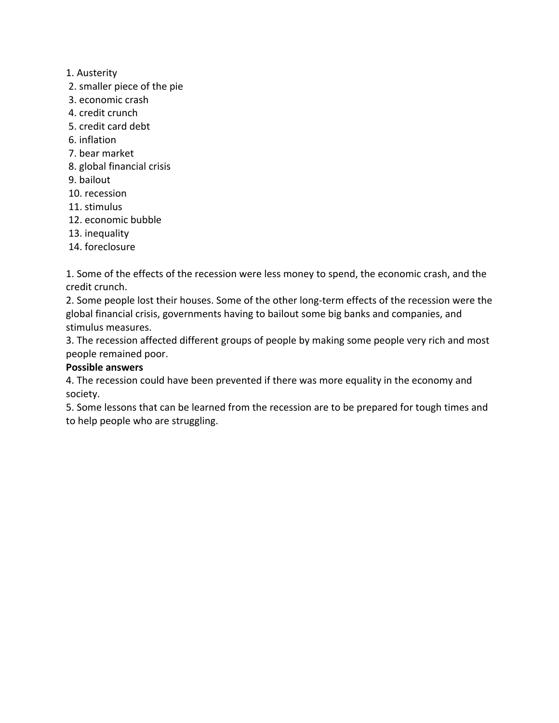- 1. Austerity
- 2. smaller piece of the pie
- 3. economic crash
- 4. credit crunch
- 5. credit card debt
- 6. inflation
- 7. bear market
- 8. global financial crisis
- 9. bailout
- 10. recession
- 11. stimulus
- 12. economic bubble
- 13. inequality
- 14. foreclosure

1. Some of the effects of the recession were less money to spend, the economic crash, and the credit crunch.

2. Some people lost their houses. Some of the other long-term effects of the recession were the global financial crisis, governments having to bailout some big banks and companies, and stimulus measures.

3. The recession affected different groups of people by making some people very rich and most people remained poor.

## **Possible answers**

4. The recession could have been prevented if there was more equality in the economy and society.

5. Some lessons that can be learned from the recession are to be prepared for tough times and to help people who are struggling.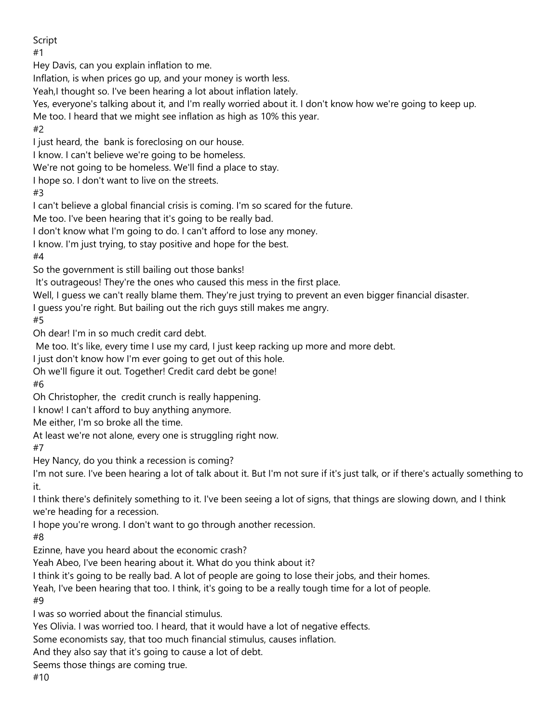Script

#1

Hey Davis, can you explain inflation to me.

Inflation, is when prices go up, and your money is worth less.

Yeah,I thought so. I've been hearing a lot about inflation lately.

Yes, everyone's talking about it, and I'm really worried about it. I don't know how we're going to keep up.

Me too. I heard that we might see inflation as high as 10% this year.

#2

I just heard, the bank is foreclosing on our house.

I know. I can't believe we're going to be homeless.

We're not going to be homeless. We'll find a place to stay.

I hope so. I don't want to live on the streets.

#3

I can't believe a global financial crisis is coming. I'm so scared for the future.

Me too. I've been hearing that it's going to be really bad.

I don't know what I'm going to do. I can't afford to lose any money.

I know. I'm just trying, to stay positive and hope for the best.

#4

So the government is still bailing out those banks!

It's outrageous! They're the ones who caused this mess in the first place.

Well, I guess we can't really blame them. They're just trying to prevent an even bigger financial disaster.

I guess you're right. But bailing out the rich guys still makes me angry.

#5

Oh dear! I'm in so much credit card debt.

Me too. It's like, every time I use my card, I just keep racking up more and more debt.

I just don't know how I'm ever going to get out of this hole.

Oh we'll figure it out. Together! Credit card debt be gone!

#6

Oh Christopher, the credit crunch is really happening.

I know! I can't afford to buy anything anymore.

Me either, I'm so broke all the time.

At least we're not alone, every one is struggling right now.

#7

Hey Nancy, do you think a recession is coming?

I'm not sure. I've been hearing a lot of talk about it. But I'm not sure if it's just talk, or if there's actually something to it.

I think there's definitely something to it. I've been seeing a lot of signs, that things are slowing down, and I think we're heading for a recession.

I hope you're wrong. I don't want to go through another recession.

#8

Ezinne, have you heard about the economic crash?

Yeah Abeo, I've been hearing about it. What do you think about it?

I think it's going to be really bad. A lot of people are going to lose their jobs, and their homes.

Yeah, I've been hearing that too. I think, it's going to be a really tough time for a lot of people.

#9

I was so worried about the financial stimulus.

Yes Olivia. I was worried too. I heard, that it would have a lot of negative effects.

Some economists say, that too much financial stimulus, causes inflation.

And they also say that it's going to cause a lot of debt.

Seems those things are coming true.

#10